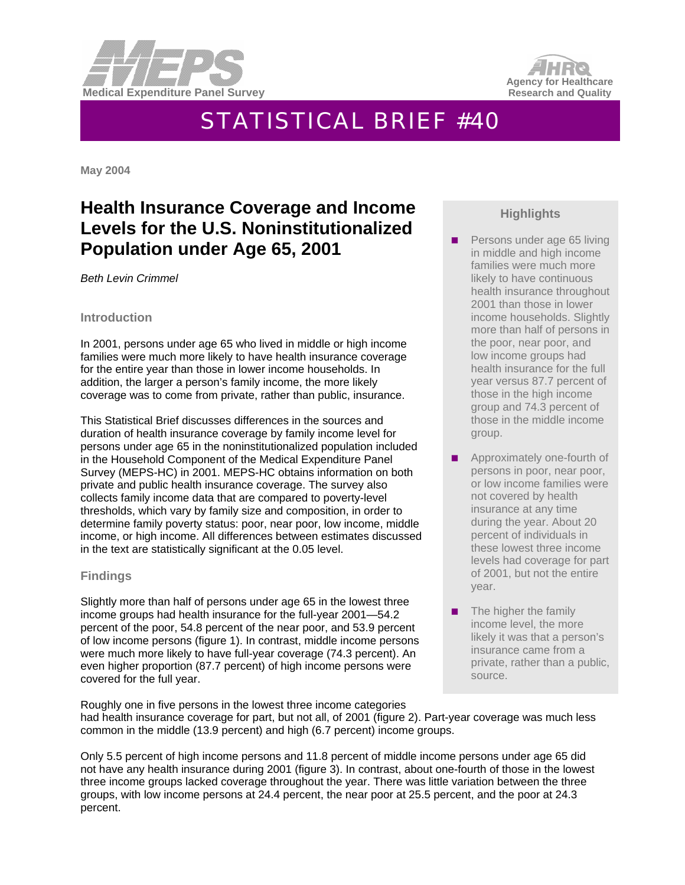



# STATISTICAL BRIEF #40

**May 2004** 

# **Health Insurance Coverage and Income Levels for the U.S. Noninstitutionalized Population under Age 65, 2001**

*Beth Levin Crimmel* 

#### **Introduction**

In 2001, persons under age 65 who lived in middle or high income families were much more likely to have health insurance coverage for the entire year than those in lower income households. In addition, the larger a person's family income, the more likely coverage was to come from private, rather than public, insurance.

This Statistical Brief discusses differences in the sources and duration of health insurance coverage by family income level for persons under age 65 in the noninstitutionalized population included in the Household Component of the Medical Expenditure Panel Survey (MEPS-HC) in 2001. MEPS-HC obtains information on both private and public health insurance coverage. The survey also collects family income data that are compared to poverty-level thresholds, which vary by family size and composition, in order to determine family poverty status: poor, near poor, low income, middle income, or high income. All differences between estimates discussed in the text are statistically significant at the 0.05 level.

### **Findings**

Slightly more than half of persons under age 65 in the lowest three income groups had health insurance for the full-year 2001—54.2 percent of the poor, 54.8 percent of the near poor, and 53.9 percent of low income persons (figure 1). In contrast, middle income persons were much more likely to have full-year coverage (74.3 percent). An even higher proportion (87.7 percent) of high income persons were covered for the full year.

## **Highlights**

- **Persons under age 65 living** in middle and high income families were much more likely to have continuous health insurance throughout 2001 than those in lower income households. Slightly more than half of persons in the poor, near poor, and low income groups had health insurance for the full year versus 87.7 percent of those in the high income group and 74.3 percent of those in the middle income group.
- **Approximately one-fourth of** persons in poor, near poor, or low income families were not covered by health insurance at any time during the year. About 20 percent of individuals in these lowest three income levels had coverage for part of 2001, but not the entire year.
- $\blacksquare$  The higher the family income level, the more likely it was that a person's insurance came from a private, rather than a public, source.

Roughly one in five persons in the lowest three income categories had health insurance coverage for part, but not all, of 2001 (figure 2). Part-year coverage was much less common in the middle (13.9 percent) and high (6.7 percent) income groups.

Only 5.5 percent of high income persons and 11.8 percent of middle income persons under age 65 did not have any health insurance during 2001 (figure 3). In contrast, about one-fourth of those in the lowest three income groups lacked coverage throughout the year. There was little variation between the three groups, with low income persons at 24.4 percent, the near poor at 25.5 percent, and the poor at 24.3 percent.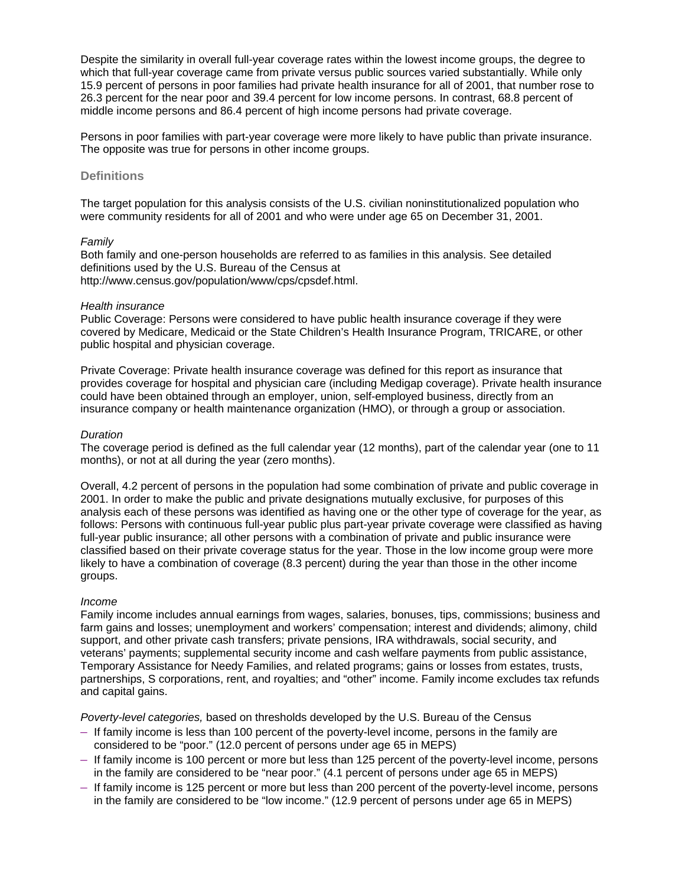Despite the similarity in overall full-year coverage rates within the lowest income groups, the degree to which that full-year coverage came from private versus public sources varied substantially. While only 15.9 percent of persons in poor families had private health insurance for all of 2001, that number rose to 26.3 percent for the near poor and 39.4 percent for low income persons. In contrast, 68.8 percent of middle income persons and 86.4 percent of high income persons had private coverage.

Persons in poor families with part-year coverage were more likely to have public than private insurance. The opposite was true for persons in other income groups.

#### **Definitions**

The target population for this analysis consists of the U.S. civilian noninstitutionalized population who were community residents for all of 2001 and who were under age 65 on December 31, 2001.

#### *Family*

Both family and one-person households are referred to as families in this analysis. See detailed definitions used by the U.S. Bureau of the Census at http://www.census.gov/population/www/cps/cpsdef.html.

#### *Health insurance*

Public Coverage: Persons were considered to have public health insurance coverage if they were covered by Medicare, Medicaid or the State Children's Health Insurance Program, TRICARE, or other public hospital and physician coverage.

Private Coverage: Private health insurance coverage was defined for this report as insurance that provides coverage for hospital and physician care (including Medigap coverage). Private health insurance could have been obtained through an employer, union, self-employed business, directly from an insurance company or health maintenance organization (HMO), or through a group or association.

#### *Duration*

The coverage period is defined as the full calendar year (12 months), part of the calendar year (one to 11 months), or not at all during the year (zero months).

Overall, 4.2 percent of persons in the population had some combination of private and public coverage in 2001. In order to make the public and private designations mutually exclusive, for purposes of this analysis each of these persons was identified as having one or the other type of coverage for the year, as follows: Persons with continuous full-year public plus part-year private coverage were classified as having full-year public insurance; all other persons with a combination of private and public insurance were classified based on their private coverage status for the year. Those in the low income group were more likely to have a combination of coverage (8.3 percent) during the year than those in the other income groups.

#### *Income*

Family income includes annual earnings from wages, salaries, bonuses, tips, commissions; business and farm gains and losses; unemployment and workers' compensation; interest and dividends; alimony, child support, and other private cash transfers; private pensions, IRA withdrawals, social security, and veterans' payments; supplemental security income and cash welfare payments from public assistance, Temporary Assistance for Needy Families, and related programs; gains or losses from estates, trusts, partnerships, S corporations, rent, and royalties; and "other" income. Family income excludes tax refunds and capital gains.

*Poverty-level categories,* based on thresholds developed by the U.S. Bureau of the Census

- If family income is less than 100 percent of the poverty-level income, persons in the family are considered to be "poor." (12.0 percent of persons under age 65 in MEPS)
- If family income is 100 percent or more but less than 125 percent of the poverty-level income, persons in the family are considered to be "near poor." (4.1 percent of persons under age 65 in MEPS)
- If family income is 125 percent or more but less than 200 percent of the poverty-level income, persons in the family are considered to be "low income." (12.9 percent of persons under age 65 in MEPS)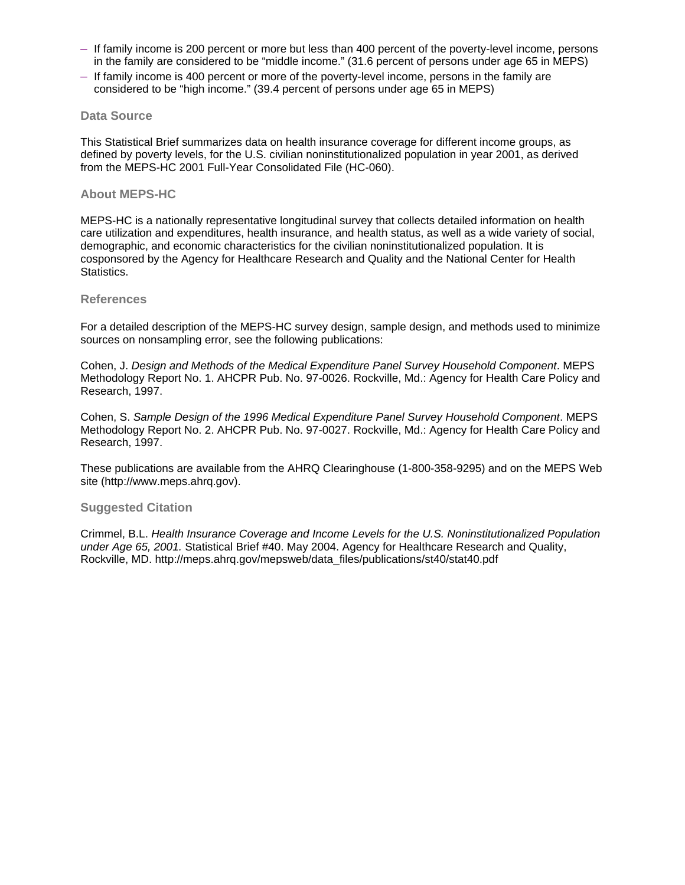- If family income is 200 percent or more but less than 400 percent of the poverty-level income, persons in the family are considered to be "middle income." (31.6 percent of persons under age 65 in MEPS)
- If family income is 400 percent or more of the poverty-level income, persons in the family are considered to be "high income." (39.4 percent of persons under age 65 in MEPS)

#### **Data Source**

This Statistical Brief summarizes data on health insurance coverage for different income groups, as defined by poverty levels, for the U.S. civilian noninstitutionalized population in year 2001, as derived from the MEPS-HC 2001 Full-Year Consolidated File (HC-060).

#### **About MEPS-HC**

MEPS-HC is a nationally representative longitudinal survey that collects detailed information on health care utilization and expenditures, health insurance, and health status, as well as a wide variety of social, demographic, and economic characteristics for the civilian noninstitutionalized population. It is cosponsored by the Agency for Healthcare Research and Quality and the National Center for Health Statistics.

#### **References**

For a detailed description of the MEPS-HC survey design, sample design, and methods used to minimize sources on nonsampling error, see the following publications:

Cohen, J. *Design and Methods of the Medical Expenditure Panel Survey Household Component*. MEPS Methodology Report No. 1. AHCPR Pub. No. 97-0026. Rockville, Md.: Agency for Health Care Policy and Research, 1997.

Cohen, S. *Sample Design of the 1996 Medical Expenditure Panel Survey Household Component*. MEPS Methodology Report No. 2. AHCPR Pub. No. 97-0027. Rockville, Md.: Agency for Health Care Policy and Research, 1997.

These publications are available from the AHRQ Clearinghouse (1-800-358-9295) and on the MEPS Web site (http://www.meps.ahrg.gov).

#### **Suggested Citation**

Crimmel, B.L. *Health Insurance Coverage and Income Levels for the U.S. Noninstitutionalized Population under Age 65, 2001.* Statistical Brief #40. May 2004. Agency for Healthcare Research and Quality, Rockville, MD. http://meps.ahrq.gov/mepsweb/data\_files/publications/st40/stat40.pdf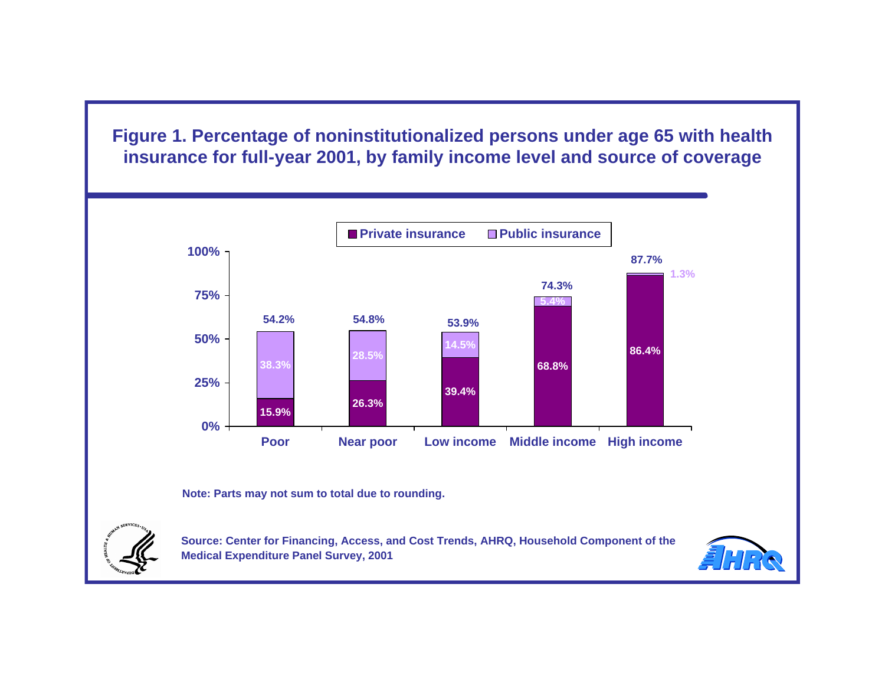**Figure 1. Percentage of noninstitutionalized persons under age 65 with health insurance for full-year 2001, by family income level and source of coverage** 



**Note: Parts may not sum to total due to rounding.** 



Source: Center for Financing, Access, and Cost Trends, AHRQ, Household Component of the **Medical Expenditure Panel Survey, 2001** 

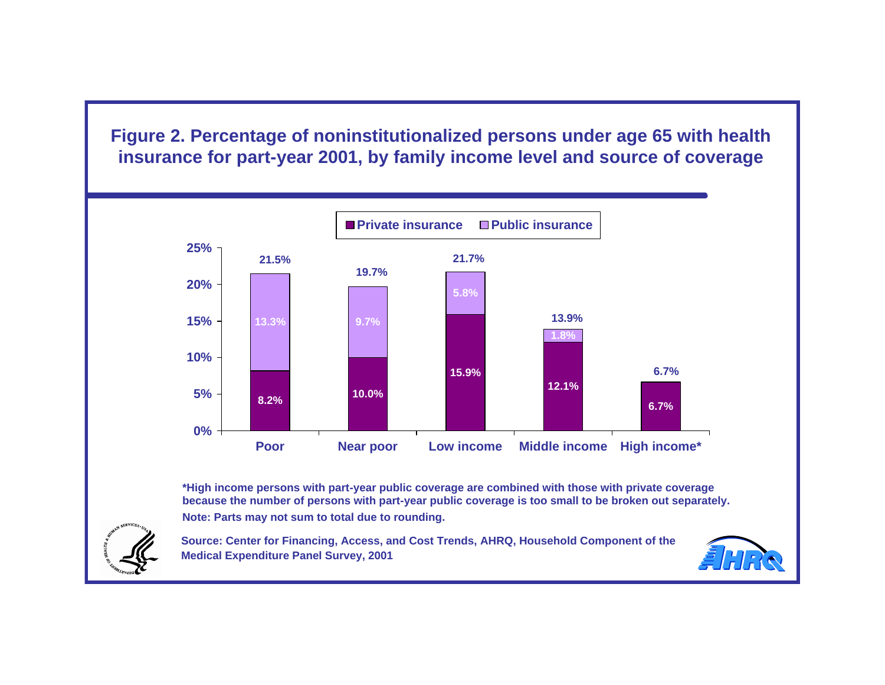**Figure 2. Percentage of noninstitutionalized persons under age 65 with health insurance for part-year 2001, by family income level and source of coverage** 



**Note: Parts may not sum to total due to rounding. \*High income persons with part-year public coverage are combined with those with private coverage because the number of persons with part-year public coverage is too small to be broken out separately.** 

Source: Center for Financing, Access, and Cost Trends, AHRQ, Household Component of the **Medical Expenditure Panel Survey, 2001**